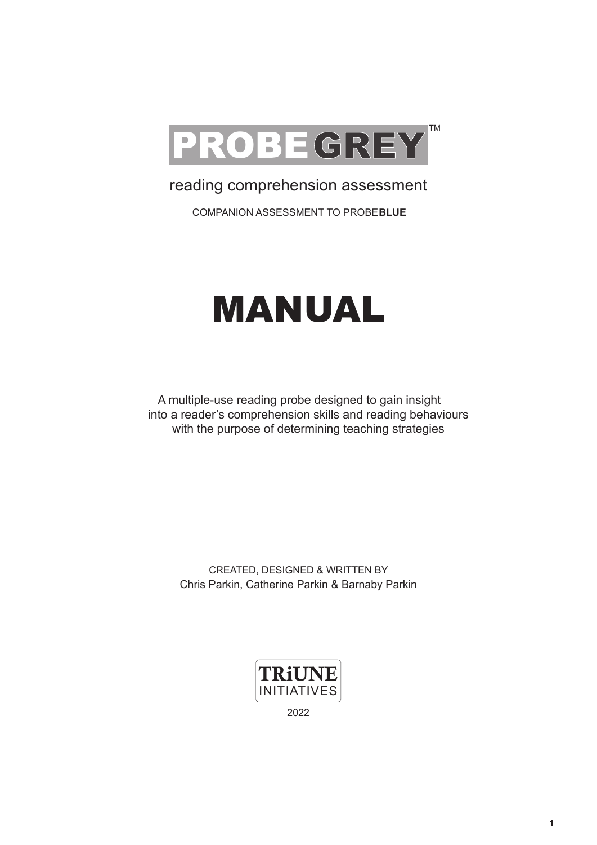

# reading comprehension assessment

COMPANION ASSESSMENT TO PROBE**BLUE**

# MANUAL

A multiple-use reading probe designed to gain insight into a reader's comprehension skills and reading behaviours with the purpose of determining teaching strategies

CREATED, DESIGNED & WRITTEN BY Chris Parkin, Catherine Parkin & Barnaby Parkin



2022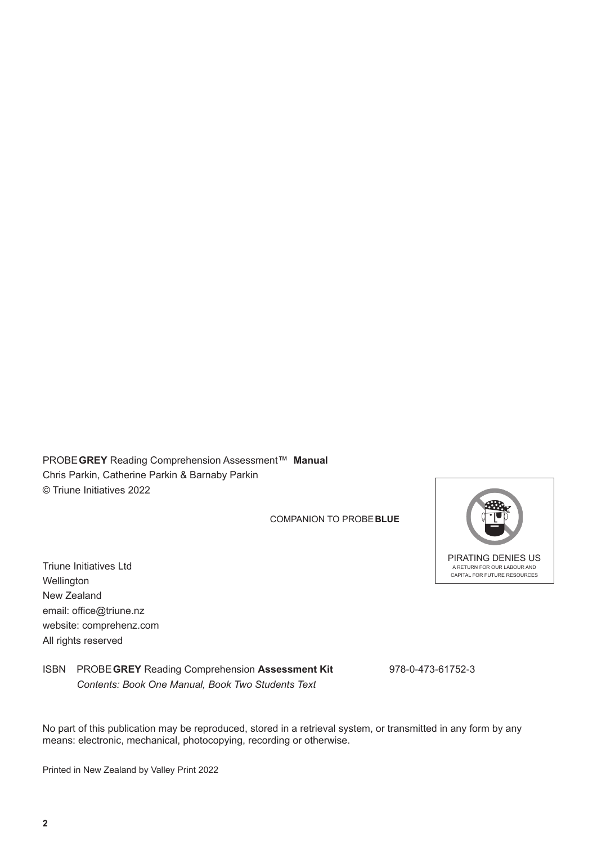PROBE **GREY** Reading Comprehension Assessment™ **Manual** Chris Parkin, Catherine Parkin & Barnaby Parkin © Triune Initiatives 2022

COMPANION TO PROBE**BLUE**

Triune Initiatives Ltd **Wellington** New Zealand email: office@triune.nz website: comprehenz.com All rights reserved

ISBN PROBE **GREY** Reading Comprehension **Assessment Kit** 978-0-473-61752-3 *Contents: Book One Manual, Book Two Students Text*

No part of this publication may be reproduced, stored in a retrieval system, or transmitted in any form by any means: electronic, mechanical, photocopying, recording or otherwise.

Printed in New Zealand by Valley Print 2022

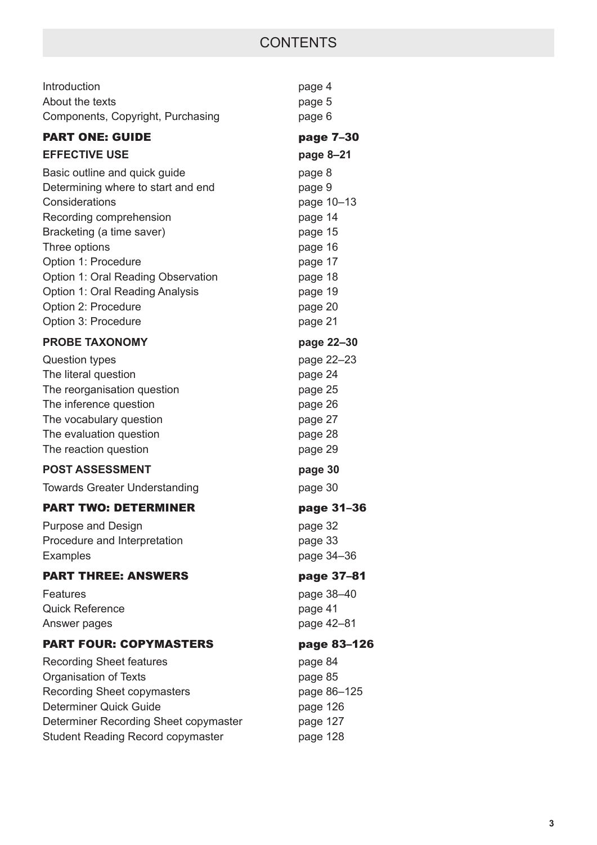| Introduction<br>About the texts<br>Components, Copyright, Purchasing                                                                                                                                                                                                                                         | page 4<br>page 5<br>page 6                                                                                             |
|--------------------------------------------------------------------------------------------------------------------------------------------------------------------------------------------------------------------------------------------------------------------------------------------------------------|------------------------------------------------------------------------------------------------------------------------|
| <b>PART ONE: GUIDE</b>                                                                                                                                                                                                                                                                                       | page 7-30                                                                                                              |
| <b>EFFECTIVE USE</b>                                                                                                                                                                                                                                                                                         | page 8-21                                                                                                              |
| Basic outline and quick guide<br>Determining where to start and end<br>Considerations<br>Recording comprehension<br>Bracketing (a time saver)<br>Three options<br>Option 1: Procedure<br>Option 1: Oral Reading Observation<br>Option 1: Oral Reading Analysis<br>Option 2: Procedure<br>Option 3: Procedure | page 8<br>page 9<br>page 10-13<br>page 14<br>page 15<br>page 16<br>page 17<br>page 18<br>page 19<br>page 20<br>page 21 |
| <b>PROBE TAXONOMY</b>                                                                                                                                                                                                                                                                                        | page 22-30                                                                                                             |
| <b>Question types</b><br>The literal question<br>The reorganisation question<br>The inference question<br>The vocabulary question<br>The evaluation question<br>The reaction question                                                                                                                        | page 22-23<br>page 24<br>page 25<br>page 26<br>page 27<br>page 28<br>page 29                                           |
| <b>POST ASSESSMENT</b>                                                                                                                                                                                                                                                                                       | page 30                                                                                                                |
| <b>Towards Greater Understanding</b>                                                                                                                                                                                                                                                                         | page 30                                                                                                                |
| <b>PART TWO: DETERMINER</b>                                                                                                                                                                                                                                                                                  | page 31-36                                                                                                             |
| <b>Purpose and Design</b><br>Procedure and Interpretation<br><b>Examples</b>                                                                                                                                                                                                                                 | page 32<br>page 33<br>page 34-36                                                                                       |
| <b>PART THREE: ANSWERS</b>                                                                                                                                                                                                                                                                                   | page 37-81                                                                                                             |
| <b>Features</b><br><b>Quick Reference</b><br>Answer pages                                                                                                                                                                                                                                                    | page 38-40<br>page 41<br>page 42-81                                                                                    |
| <b>PART FOUR: COPYMASTERS</b>                                                                                                                                                                                                                                                                                | page 83-126                                                                                                            |
| <b>Recording Sheet features</b><br>Organisation of Texts<br><b>Recording Sheet copymasters</b><br>Determiner Quick Guide<br>Determiner Recording Sheet copymaster<br><b>Student Reading Record copymaster</b>                                                                                                | page 84<br>page 85<br>page 86-125<br>page 126<br>page 127<br>page 128                                                  |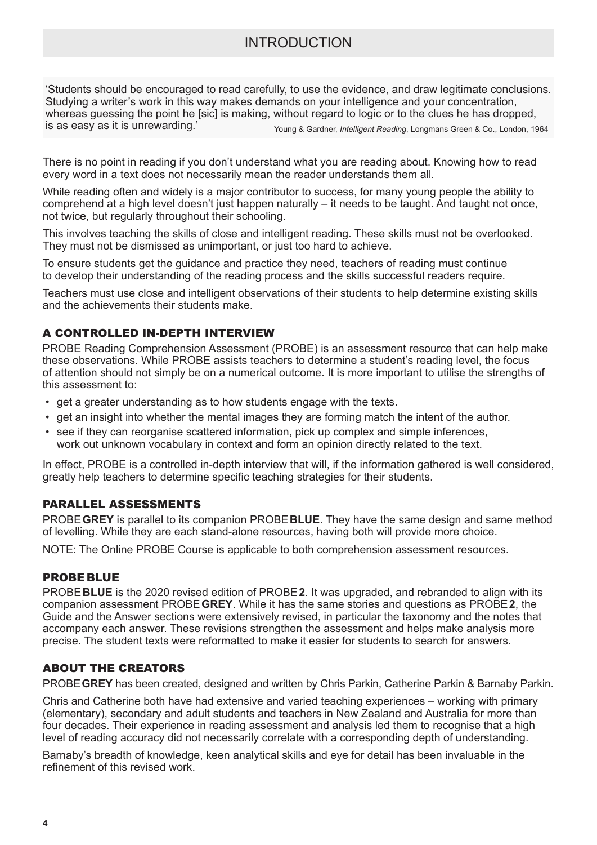'Students should be encouraged to read carefully, to use the evidence, and draw legitimate conclusions. Studying a writer's work in this way makes demands on your intelligence and your concentration, whereas guessing the point he [sic] is making, without regard to logic or to the clues he has dropped, is as easy as it is unrewarding.' Young & Gardner, *Intelligent Reading*, Longmans Green & Co., London, 1964

There is no point in reading if you don't understand what you are reading about. Knowing how to read every word in a text does not necessarily mean the reader understands them all.

While reading often and widely is a major contributor to success, for many young people the ability to comprehend at a high level doesn't just happen naturally – it needs to be taught. And taught not once, not twice, but regularly throughout their schooling.

This involves teaching the skills of close and intelligent reading. These skills must not be overlooked. They must not be dismissed as unimportant, or just too hard to achieve.

To ensure students get the guidance and practice they need, teachers of reading must continue to develop their understanding of the reading process and the skills successful readers require.

Teachers must use close and intelligent observations of their students to help determine existing skills and the achievements their students make.

### A CONTROLLED IN-DEPTH INTERVIEW

PROBE Reading Comprehension Assessment (PROBE) is an assessment resource that can help make these observations. While PROBE assists teachers to determine a student's reading level, the focus of attention should not simply be on a numerical outcome. It is more important to utilise the strengths of this assessment to:

- get a greater understanding as to how students engage with the texts.
- get an insight into whether the mental images they are forming match the intent of the author.
- see if they can reorganise scattered information, pick up complex and simple inferences, work out unknown vocabulary in context and form an opinion directly related to the text.

In effect, PROBE is a controlled in-depth interview that will, if the information gathered is well considered, greatly help teachers to determine specific teaching strategies for their students.

#### PARALLEL ASSESSMENTS

PROBE **GREY** is parallel to its companion PROBE **BLUE**. They have the same design and same method of levelling. While they are each stand-alone resources, having both will provide more choice.

NOTE: The Online PROBE Course is applicable to both comprehension assessment resources.

#### PROBE BLUE

PROBE **BLUE** is the 2020 revised edition of PROBE **2**. It was upgraded, and rebranded to align with its companion assessment PROBE **GREY**. While it has the same stories and questions as PROBE **2**, the Guide and the Answer sections were extensively revised, in particular the taxonomy and the notes that accompany each answer. These revisions strengthen the assessment and helps make analysis more precise. The student texts were reformatted to make it easier for students to search for answers.

#### ABOUT THE CREATORS

PROBE **GREY** has been created, designed and written by Chris Parkin, Catherine Parkin & Barnaby Parkin.

Chris and Catherine both have had extensive and varied teaching experiences – working with primary (elementary), secondary and adult students and teachers in New Zealand and Australia for more than four decades. Their experience in reading assessment and analysis led them to recognise that a high level of reading accuracy did not necessarily correlate with a corresponding depth of understanding.

Barnaby's breadth of knowledge, keen analytical skills and eye for detail has been invaluable in the refinement of this revised work.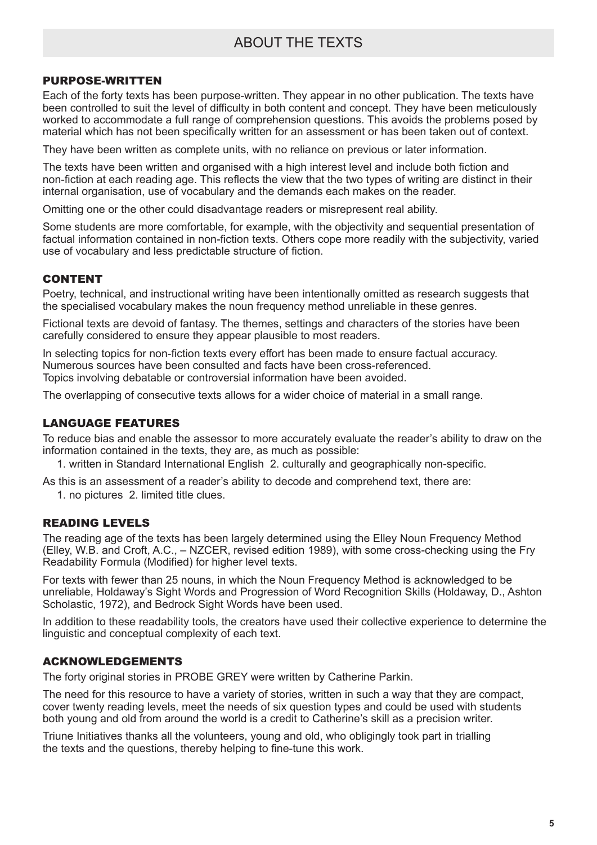# ABOUT THE TEXTS

#### PURPOSE-WRITTEN

Each of the forty texts has been purpose-written. They appear in no other publication. The texts have been controlled to suit the level of difficulty in both content and concept. They have been meticulously worked to accommodate a full range of comprehension questions. This avoids the problems posed by material which has not been specifically written for an assessment or has been taken out of context.

They have been written as complete units, with no reliance on previous or later information.

The texts have been written and organised with a high interest level and include both fiction and non-fiction at each reading age. This reflects the view that the two types of writing are distinct in their internal organisation, use of vocabulary and the demands each makes on the reader.

Omitting one or the other could disadvantage readers or misrepresent real ability.

Some students are more comfortable, for example, with the objectivity and sequential presentation of factual information contained in non-fiction texts. Others cope more readily with the subjectivity, varied use of vocabulary and less predictable structure of fiction.

#### CONTENT

Poetry, technical, and instructional writing have been intentionally omitted as research suggests that the specialised vocabulary makes the noun frequency method unreliable in these genres.

Fictional texts are devoid of fantasy. The themes, settings and characters of the stories have been carefully considered to ensure they appear plausible to most readers.

In selecting topics for non-fiction texts every effort has been made to ensure factual accuracy. Numerous sources have been consulted and facts have been cross-referenced. Topics involving debatable or controversial information have been avoided.

The overlapping of consecutive texts allows for a wider choice of material in a small range.

#### LANGUAGE FEATURES

To reduce bias and enable the assessor to more accurately evaluate the reader's ability to draw on the information contained in the texts, they are, as much as possible:

1. written in Standard International English 2. culturally and geographically non-specific.

As this is an assessment of a reader's ability to decode and comprehend text, there are:

1. no pictures 2. limited title clues.

#### READING LEVELS

The reading age of the texts has been largely determined using the Elley Noun Frequency Method (Elley, W.B. and Croft, A.C., – NZCER, revised edition 1989), with some cross-checking using the Fry Readability Formula (Modified) for higher level texts.

For texts with fewer than 25 nouns, in which the Noun Frequency Method is acknowledged to be unreliable, Holdaway's Sight Words and Progression of Word Recognition Skills (Holdaway, D., Ashton Scholastic, 1972), and Bedrock Sight Words have been used.

In addition to these readability tools, the creators have used their collective experience to determine the linguistic and conceptual complexity of each text.

#### ACKNOWLEDGEMENTS

The forty original stories in PROBE GREY were written by Catherine Parkin.

The need for this resource to have a variety of stories, written in such a way that they are compact, cover twenty reading levels, meet the needs of six question types and could be used with students both young and old from around the world is a credit to Catherine's skill as a precision writer.

Triune Initiatives thanks all the volunteers, young and old, who obligingly took part in trialling the texts and the questions, thereby helping to fine-tune this work.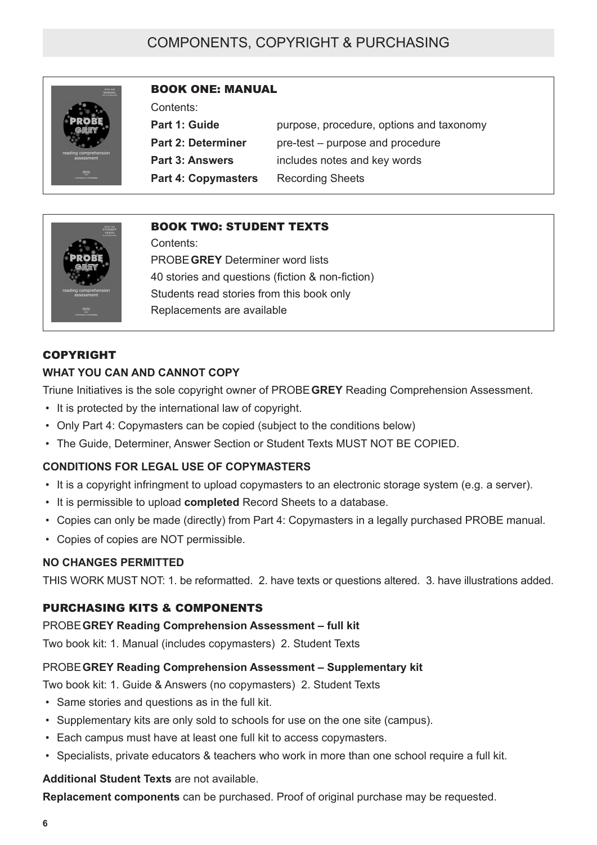# COMPONENTS, COPYRIGHT & PURCHASING



## BOOK ONE: MANUAL

Contents:

**Part 1: Guide** purpose, procedure, options and taxonomy **Part 2: Determiner** pre-test – purpose and procedure **Part 3: Answers** includes notes and key words **Part 4: Copymasters** Recording Sheets



### BOOK TWO: STUDENT TEXTS

Contents: PROBE **GREY** Determiner word lists 40 stories and questions (fiction & non-fiction) Students read stories from this book only Replacements are available

#### COPYRIGHT

#### **WHAT YOU CAN AND CANNOT COPY**

Triune Initiatives is the sole copyright owner of PROBE **GREY** Reading Comprehension Assessment.

- It is protected by the international law of copyright.
- Only Part 4: Copymasters can be copied (subject to the conditions below)
- The Guide, Determiner, Answer Section or Student Texts MUST NOT BE COPIED.

### **CONDITIONS FOR LEGAL USE OF COPYMASTERS**

- It is a copyright infringment to upload copymasters to an electronic storage system (e.g. a server).
- It is permissible to upload **completed** Record Sheets to a database.
- Copies can only be made (directly) from Part 4: Copymasters in a legally purchased PROBE manual.
- Copies of copies are NOT permissible.

### **NO CHANGES PERMITTED**

THIS WORK MUST NOT: 1. be reformatted. 2. have texts or questions altered. 3. have illustrations added.

### PURCHASING KITS & COMPONENTS

#### PROBE **GREY Reading Comprehension Assessment – full kit**

Two book kit: 1. Manual (includes copymasters) 2. Student Texts

### PROBE **GREY Reading Comprehension Assessment – Supplementary kit**

Two book kit: 1. Guide & Answers (no copymasters) 2. Student Texts

- Same stories and questions as in the full kit.
- Supplementary kits are only sold to schools for use on the one site (campus).
- Each campus must have at least one full kit to access copymasters.
- Specialists, private educators & teachers who work in more than one school require a full kit.

#### **Additional Student Texts** are not available.

**Replacement components** can be purchased. Proof of original purchase may be requested.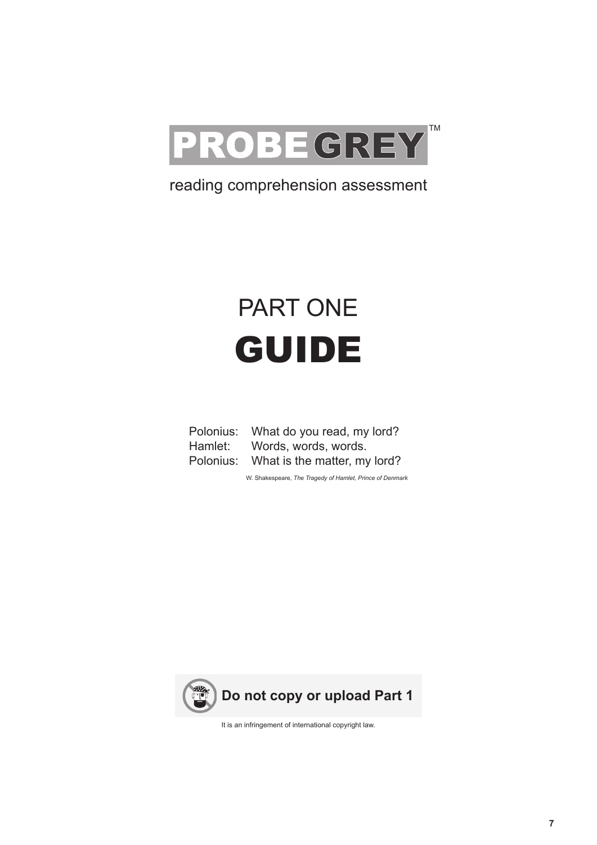

# reading comprehension assessment

# PART ONE GUIDE

| Polonius: | What do you read, my lord?   |
|-----------|------------------------------|
| Hamlet:   | Words, words, words.         |
| Polonius: | What is the matter, my lord? |

W. Shakespeare, *The Tragedy of Hamlet, Prince of Denmark*



It is an infringement of international copyright law.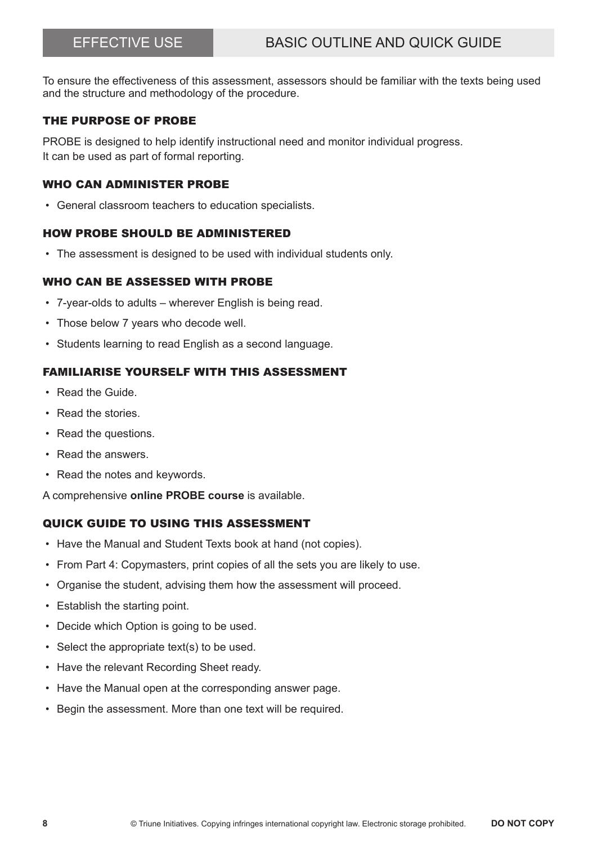To ensure the effectiveness of this assessment, assessors should be familiar with the texts being used and the structure and methodology of the procedure.

#### THE PURPOSE OF PROBE

PROBE is designed to help identify instructional need and monitor individual progress. It can be used as part of formal reporting.

#### WHO CAN ADMINISTER PROBE

• General classroom teachers to education specialists.

#### HOW PROBE SHOULD BE ADMINISTERED

• The assessment is designed to be used with individual students only.

### WHO CAN BE ASSESSED WITH PROBE

- 7-year-olds to adults wherever English is being read.
- Those below 7 years who decode well.
- Students learning to read English as a second language.

### FAMILIARISE YOURSELF WITH THIS ASSESSMENT

- Read the Guide.
- Read the stories.
- Read the questions.
- Read the answers.
- Read the notes and keywords.

A comprehensive **online PROBE course** is available.

#### QUICK GUIDE TO USING THIS ASSESSMENT

- Have the Manual and Student Texts book at hand (not copies).
- From Part 4: Copymasters, print copies of all the sets you are likely to use.
- Organise the student, advising them how the assessment will proceed.
- Establish the starting point.
- Decide which Option is going to be used.
- Select the appropriate text(s) to be used.
- Have the relevant Recording Sheet ready.
- Have the Manual open at the corresponding answer page.
- Begin the assessment. More than one text will be required.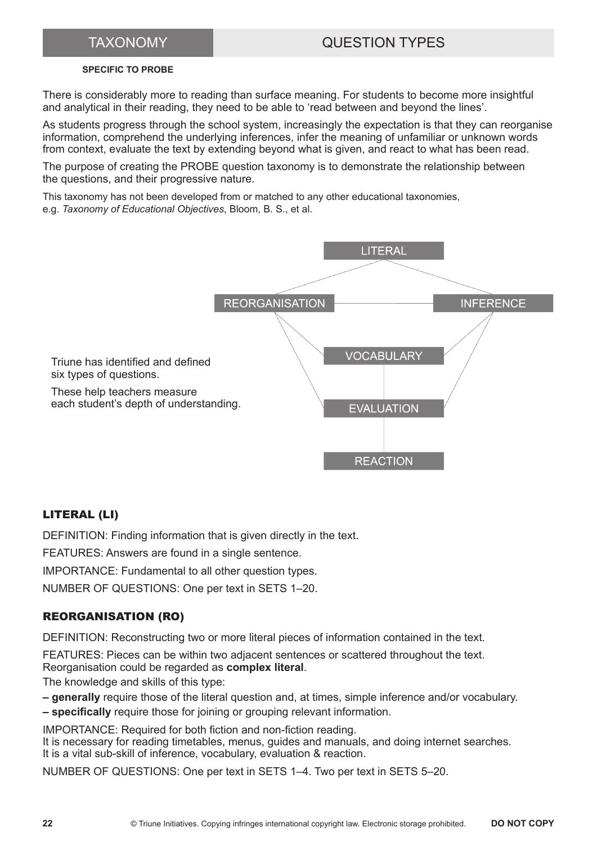# TAXONOMY QUESTION TYPES

#### **SPECIFIC TO PROBE**

There is considerably more to reading than surface meaning. For students to become more insightful and analytical in their reading, they need to be able to 'read between and beyond the lines'.

As students progress through the school system, increasingly the expectation is that they can reorganise information, comprehend the underlying inferences, infer the meaning of unfamiliar or unknown words from context, evaluate the text by extending beyond what is given, and react to what has been read.

The purpose of creating the PROBE question taxonomy is to demonstrate the relationship between the questions, and their progressive nature.

This taxonomy has not been developed from or matched to any other educational taxonomies, e.g. *Taxonomy of Educational Objectives*, Bloom, B. S., et al.



### LITERAL (LI)

DEFINITION: Finding information that is given directly in the text.

FEATURES: Answers are found in a single sentence.

IMPORTANCE: Fundamental to all other question types.

NUMBER OF QUESTIONS: One per text in SETS 1–20.

### REORGANISATION (RO)

DEFINITION: Reconstructing two or more literal pieces of information contained in the text.

FEATURES: Pieces can be within two adjacent sentences or scattered throughout the text. Reorganisation could be regarded as **complex literal**.

The knowledge and skills of this type:

- **generally** require those of the literal question and, at times, simple inference and/or vocabulary.
- **specifically** require those for joining or grouping relevant information.

IMPORTANCE: Required for both fiction and non-fiction reading. It is necessary for reading timetables, menus, guides and manuals, and doing internet searches. It is a vital sub-skill of inference, vocabulary, evaluation & reaction.

NUMBER OF QUESTIONS: One per text in SETS 1–4. Two per text in SETS 5–20.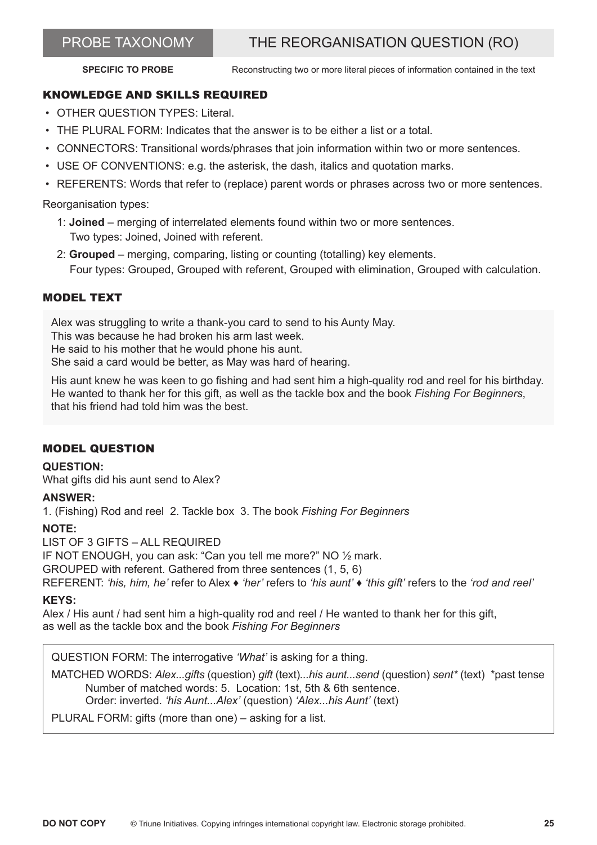# PROBE TAXONOMY THE REORGANISATION QUESTION (RO)

**SPECIFIC TO PROBE** Reconstructing two or more literal pieces of information contained in the text

### KNOWLEDGE AND SKILLS REQUIRED

- OTHER QUESTION TYPES: Literal.
- THE PLURAL FORM: Indicates that the answer is to be either a list or a total.
- CONNECTORS: Transitional words/phrases that join information within two or more sentences.
- USE OF CONVENTIONS: e.g. the asterisk, the dash, italics and quotation marks.
- REFERENTS: Words that refer to (replace) parent words or phrases across two or more sentences.

Reorganisation types:

- 1: **Joined** merging of interrelated elements found within two or more sentences. Two types: Joined, Joined with referent.
- 2: **Grouped** merging, comparing, listing or counting (totalling) key elements. Four types: Grouped, Grouped with referent, Grouped with elimination, Grouped with calculation.

### MODEL TEXT

Alex was struggling to write a thank-you card to send to his Aunty May. This was because he had broken his arm last week. He said to his mother that he would phone his aunt. She said a card would be better, as May was hard of hearing.

His aunt knew he was keen to go fishing and had sent him a high-quality rod and reel for his birthday. He wanted to thank her for this gift, as well as the tackle box and the book *Fishing For Beginners*, that his friend had told him was the best.

#### MODEL QUESTION

#### **QUESTION:**

What gifts did his aunt send to Alex?

#### **ANSWER:**

1. (Fishing) Rod and reel 2. Tackle box 3. The book *Fishing For Beginners*

#### **NOTE:**

LIST OF 3 GIFTS – ALL REQUIRED IF NOT ENOUGH, you can ask: "Can you tell me more?" NO ½ mark. GROUPED with referent. Gathered from three sentences (1, 5, 6) REFERENT: *'his, him, he'* refer to Alex ♦ *'her'* refers to *'his aunt'* ♦ *'this gift'* refers to the *'rod and reel'*

#### **KEYS:**

Alex / His aunt / had sent him a high-quality rod and reel / He wanted to thank her for this gift, as well as the tackle box and the book *Fishing For Beginners*

QUESTION FORM: The interrogative *'What'* is asking for a thing.

MATCHED WORDS: *Alex...gifts* (question) *gift* (text)*...his aunt...send* (question) *sent\** (text) \*past tense Number of matched words: 5. Location: 1st, 5th & 6th sentence. Order: inverted. *'his Aunt...Alex'* (question) *'Alex...his Aunt'* (text)

PLURAL FORM: gifts (more than one) – asking for a list.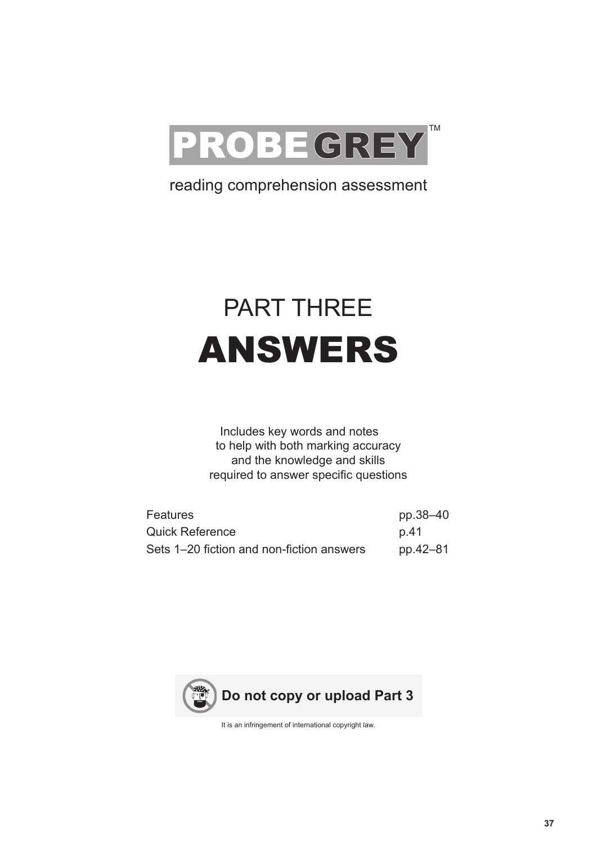

# reading comprehension assessment

# PART THREE ANSWERS

Includes key words and notes to help with both marking accuracy and the knowledge and skills required to answer specific questions

| <b>Features</b>                           | pp.38–40 |
|-------------------------------------------|----------|
| <b>Quick Reference</b>                    | p.41     |
| Sets 1–20 fiction and non-fiction answers | pp.42–81 |



It is an infringement of international copyright law.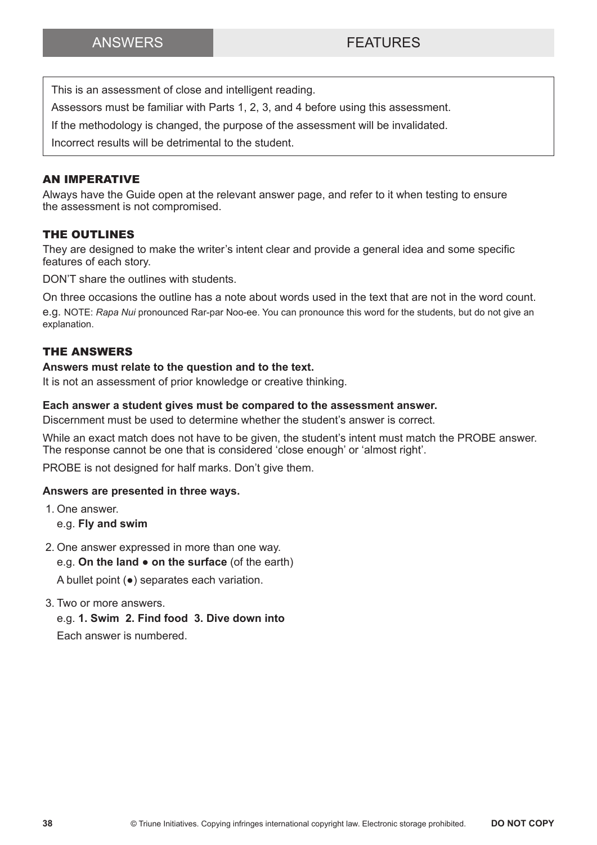This is an assessment of close and intelligent reading.

Assessors must be familiar with Parts 1, 2, 3, and 4 before using this assessment.

If the methodology is changed, the purpose of the assessment will be invalidated.

Incorrect results will be detrimental to the student.

#### AN IMPERATIVE

Always have the Guide open at the relevant answer page, and refer to it when testing to ensure the assessment is not compromised.

#### THE OUTLINES

They are designed to make the writer's intent clear and provide a general idea and some specific features of each story.

DON'T share the outlines with students.

On three occasions the outline has a note about words used in the text that are not in the word count. e.g. NOTE: *Rapa Nui* pronounced Rar-par Noo-ee. You can pronounce this word for the students, but do not give an explanation.

#### THE ANSWERS

#### **Answers must relate to the question and to the text.**

It is not an assessment of prior knowledge or creative thinking.

#### **Each answer a student gives must be compared to the assessment answer.**

Discernment must be used to determine whether the student's answer is correct.

While an exact match does not have to be given, the student's intent must match the PROBE answer. The response cannot be one that is considered 'close enough' or 'almost right'.

PROBE is not designed for half marks. Don't give them.

#### **Answers are presented in three ways.**

- 1. One answer.
	- e.g. **Fly and swim**
- 2. One answer expressed in more than one way. e.g. **On the land ● on the surface** (of the earth)

A bullet point (**●**) separates each variation.

- 3. Two or more answers.
	- e.g. **1. Swim 2. Find food 3. Dive down into**

Each answer is numbered.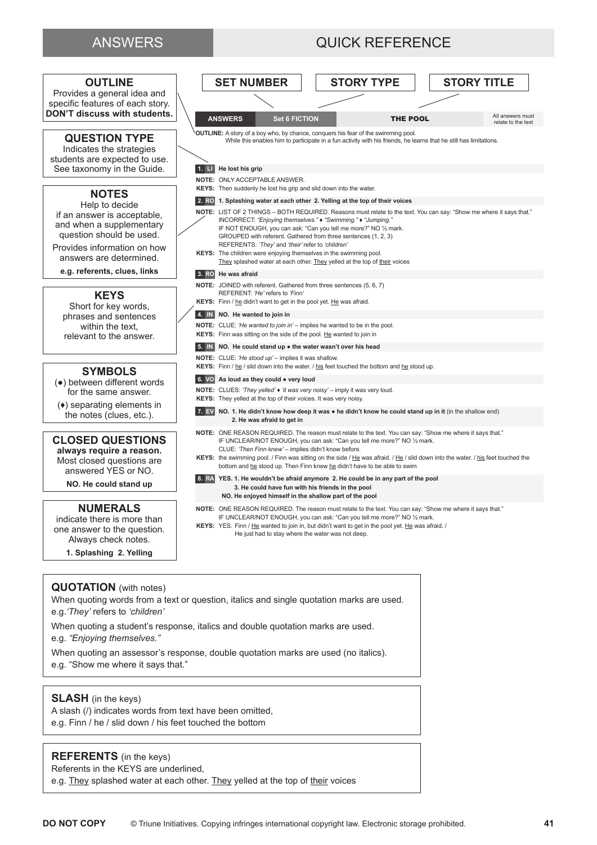## ANSWERS **QUICK REFERENCE**



#### **QUOTATION** (with notes)

When quoting words from a text or question, italics and single quotation marks are used. e.g.*'They'* refers to *'children'*

When quoting a student's response, italics and double quotation marks are used. e.g. *"Enjoying themselves."*

When quoting an assessor's response, double quotation marks are used (no italics).  $\hphantom{1em}$ e.g. "Show me where it says that."

#### **SLASH** (in the keys)

A slash (/) indicates words from text have been omitted, e.g. Finn / he / slid down / his feet touched the bottom

#### **REFERENTS** (in the keys)

Referents in the KEYS are underlined,

e.g. They splashed water at each other. They yelled at the top of their voices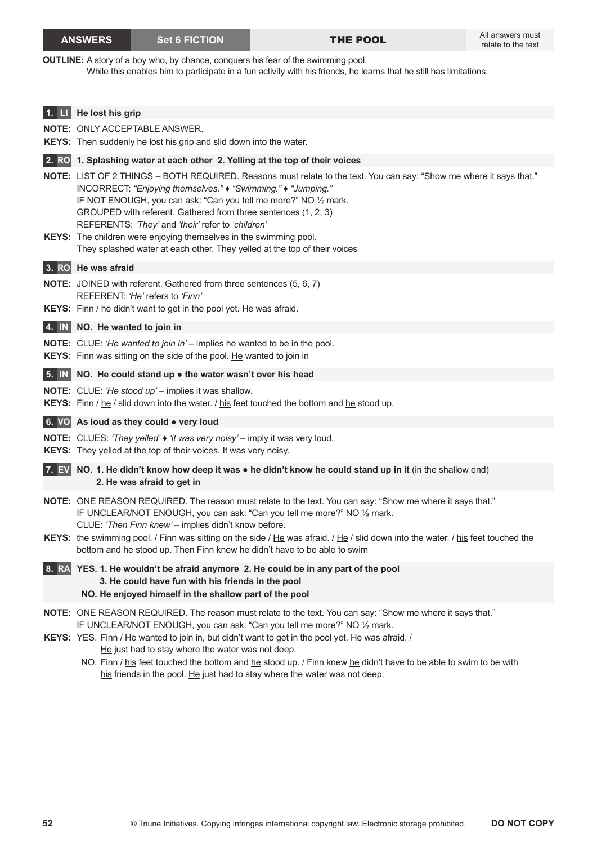#### **ANSWERS Set 6 FICTION** THE POOL

**OUTLINE:** A story of a boy who, by chance, conquers his fear of the swimming pool. While this enables him to participate in a fun activity with his friends, he learns that he still has limitations.

| 1.                         | He lost his grip                                                                                                                                                                                                                                                                                                                                                                                                                                    |
|----------------------------|-----------------------------------------------------------------------------------------------------------------------------------------------------------------------------------------------------------------------------------------------------------------------------------------------------------------------------------------------------------------------------------------------------------------------------------------------------|
|                            | <b>NOTE: ONLY ACCEPTABLE ANSWER.</b>                                                                                                                                                                                                                                                                                                                                                                                                                |
|                            | KEYS: Then suddenly he lost his grip and slid down into the water.                                                                                                                                                                                                                                                                                                                                                                                  |
|                            | 2. RO 1. Splashing water at each other 2. Yelling at the top of their voices                                                                                                                                                                                                                                                                                                                                                                        |
|                            | NOTE: LIST OF 2 THINGS - BOTH REQUIRED. Reasons must relate to the text. You can say: "Show me where it says that."<br>INCORRECT: "Enjoying themselves." • "Swimming." • "Jumping."<br>IF NOT ENOUGH, you can ask: "Can you tell me more?" NO 1/2 mark.<br>GROUPED with referent. Gathered from three sentences (1, 2, 3)<br>REFERENTS: 'They' and 'their' refer to 'children'<br>KEYS: The children were enjoying themselves in the swimming pool. |
|                            | They splashed water at each other. They yelled at the top of their voices                                                                                                                                                                                                                                                                                                                                                                           |
|                            | 3. RO He was afraid                                                                                                                                                                                                                                                                                                                                                                                                                                 |
|                            | <b>NOTE:</b> JOINED with referent. Gathered from three sentences (5, 6, 7)                                                                                                                                                                                                                                                                                                                                                                          |
|                            | REFERENT: 'He' refers to 'Finn'                                                                                                                                                                                                                                                                                                                                                                                                                     |
|                            | KEYS: Finn / he didn't want to get in the pool yet. He was afraid.                                                                                                                                                                                                                                                                                                                                                                                  |
| 4. IN                      | NO. He wanted to join in                                                                                                                                                                                                                                                                                                                                                                                                                            |
|                            | <b>NOTE:</b> CLUE: 'He wanted to join in' – implies he wanted to be in the pool.<br>KEYS: Finn was sitting on the side of the pool. He wanted to join in                                                                                                                                                                                                                                                                                            |
| $5. \parallel N \parallel$ | NO. He could stand up . the water wasn't over his head                                                                                                                                                                                                                                                                                                                                                                                              |
|                            | <b>NOTE:</b> CLUE: 'He stood up' - implies it was shallow.<br>KEYS: Finn / he / slid down into the water. / his feet touched the bottom and he stood up.                                                                                                                                                                                                                                                                                            |
|                            | 6. VO As loud as they could • very loud                                                                                                                                                                                                                                                                                                                                                                                                             |
|                            | NOTE: CLUES: 'They yelled' • 'it was very noisy' - imply it was very loud.<br>KEYS: They yelled at the top of their voices. It was very noisy.                                                                                                                                                                                                                                                                                                      |
|                            | 7. EV NO. 1. He didn't know how deep it was • he didn't know he could stand up in it (in the shallow end)<br>2. He was afraid to get in                                                                                                                                                                                                                                                                                                             |
|                            | NOTE: ONE REASON REQUIRED. The reason must relate to the text. You can say: "Show me where it says that."<br>IF UNCLEAR/NOT ENOUGH, you can ask: "Can you tell me more?" NO 1/2 mark.<br>CLUE: 'Then Finn knew' - implies didn't know before.                                                                                                                                                                                                       |
|                            | KEYS: the swimming pool. / Finn was sitting on the side / He was afraid. / He / slid down into the water. / his feet touched the<br>bottom and he stood up. Then Finn knew he didn't have to be able to swim                                                                                                                                                                                                                                        |
| 8. RAI                     | YES. 1. He wouldn't be afraid anymore 2. He could be in any part of the pool<br>3. He could have fun with his friends in the pool<br>NO. He enjoyed himself in the shallow part of the pool                                                                                                                                                                                                                                                         |
|                            | NOTE: ONE REASON REQUIRED. The reason must relate to the text. You can say: "Show me where it says that."<br>IF UNCLEAR/NOT ENOUGH, you can ask: "Can you tell me more?" NO 1/2 mark.<br>KEYS: YES. Finn / He wanted to join in, but didn't want to get in the pool yet. He was afraid. /                                                                                                                                                           |
|                            | He just had to stay where the water was not deep.                                                                                                                                                                                                                                                                                                                                                                                                   |

NO. Finn / his feet touched the bottom and he stood up. / Finn knew he didn't have to be able to swim to be with his friends in the pool. He just had to stay where the water was not deep.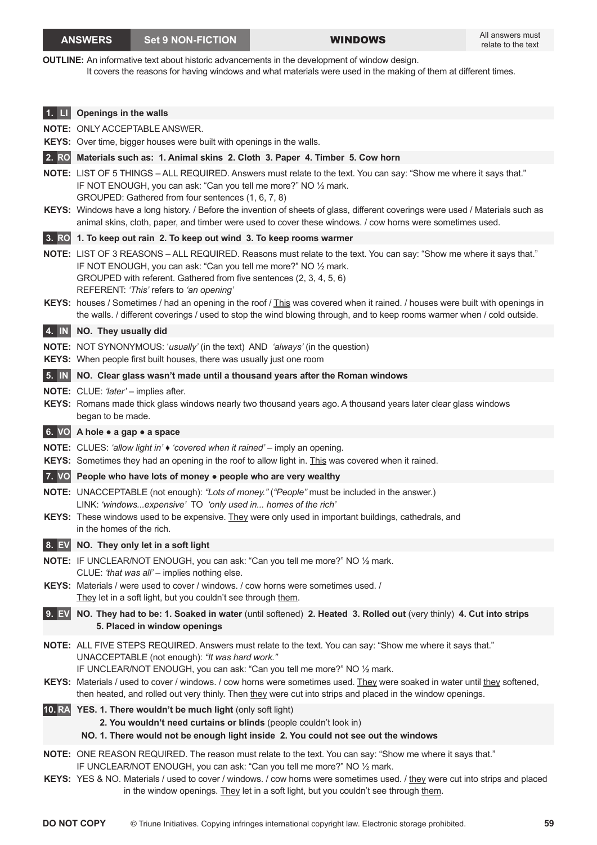#### **ANSWERS** Set 9 NON-FICTION WINDOWS

**OUTLINE:** An informative text about historic advancements in the development of window design.

It covers the reasons for having windows and what materials were used in the making of them at different times.

|              | Openings in the walls                                                                                                                                                                                                                                                                                                                                                                                                                                                                        |
|--------------|----------------------------------------------------------------------------------------------------------------------------------------------------------------------------------------------------------------------------------------------------------------------------------------------------------------------------------------------------------------------------------------------------------------------------------------------------------------------------------------------|
|              | <b>NOTE: ONLY ACCEPTABLE ANSWER.</b>                                                                                                                                                                                                                                                                                                                                                                                                                                                         |
|              | KEYS: Over time, bigger houses were built with openings in the walls.                                                                                                                                                                                                                                                                                                                                                                                                                        |
| <b>2. RO</b> | Materials such as: 1. Animal skins 2. Cloth 3. Paper 4. Timber 5. Cow horn                                                                                                                                                                                                                                                                                                                                                                                                                   |
|              | NOTE: LIST OF 5 THINGS - ALL REQUIRED. Answers must relate to the text. You can say: "Show me where it says that."<br>IF NOT ENOUGH, you can ask: "Can you tell me more?" NO 1/2 mark.<br>GROUPED: Gathered from four sentences (1, 6, 7, 8)<br>KEYS: Windows have a long history. / Before the invention of sheets of glass, different coverings were used / Materials such as<br>animal skins, cloth, paper, and timber were used to cover these windows. / cow horns were sometimes used. |
|              | 3. RO 1. To keep out rain 2. To keep out wind 3. To keep rooms warmer                                                                                                                                                                                                                                                                                                                                                                                                                        |
|              | NOTE: LIST OF 3 REASONS - ALL REQUIRED. Reasons must relate to the text. You can say: "Show me where it says that."<br>IF NOT ENOUGH, you can ask: "Can you tell me more?" NO 1/2 mark.<br>GROUPED with referent. Gathered from five sentences (2, 3, 4, 5, 6)<br>REFERENT: 'This' refers to 'an opening'                                                                                                                                                                                    |
|              | KEYS: houses / Sometimes / had an opening in the roof / This was covered when it rained. / houses were built with openings in<br>the walls. / different coverings / used to stop the wind blowing through, and to keep rooms warmer when / cold outside.                                                                                                                                                                                                                                     |
|              | 4. IN NO. They usually did                                                                                                                                                                                                                                                                                                                                                                                                                                                                   |
|              | <b>NOTE:</b> NOT SYNONYMOUS: 'usually' (in the text) AND 'always' (in the question)<br>KEYS: When people first built houses, there was usually just one room                                                                                                                                                                                                                                                                                                                                 |
| $5.$ $N$     | NO. Clear glass wasn't made until a thousand years after the Roman windows                                                                                                                                                                                                                                                                                                                                                                                                                   |
|              | <b>NOTE:</b> CLUE: 'later' - implies after.<br>KEYS: Romans made thick glass windows nearly two thousand years ago. A thousand years later clear glass windows<br>began to be made.                                                                                                                                                                                                                                                                                                          |
|              | 6. VO A hole . a gap . a space                                                                                                                                                                                                                                                                                                                                                                                                                                                               |
|              | NOTE: CLUES: 'allow light in' $\bullet$ 'covered when it rained' - imply an opening.                                                                                                                                                                                                                                                                                                                                                                                                         |
|              | KEYS: Sometimes they had an opening in the roof to allow light in. This was covered when it rained.                                                                                                                                                                                                                                                                                                                                                                                          |
|              | 7. VO People who have lots of money • people who are very wealthy                                                                                                                                                                                                                                                                                                                                                                                                                            |
|              | NOTE: UNACCEPTABLE (not enough): "Lots of money." ("People" must be included in the answer.)<br>LINK: 'windowsexpensive' TO 'only used in homes of the rich'                                                                                                                                                                                                                                                                                                                                 |
|              | KEYS: These windows used to be expensive. They were only used in important buildings, cathedrals, and<br>in the homes of the rich.                                                                                                                                                                                                                                                                                                                                                           |
| 8. EV        | NO. They only let in a soft light                                                                                                                                                                                                                                                                                                                                                                                                                                                            |
|              | NOTE: IF UNCLEAR/NOT ENOUGH, you can ask: "Can you tell me more?" NO 1/2 mark.<br>CLUE: 'that was all' - implies nothing else.<br>KEYS: Materials / were used to cover / windows. / cow horns were sometimes used. /                                                                                                                                                                                                                                                                         |
|              | They let in a soft light, but you couldn't see through them.                                                                                                                                                                                                                                                                                                                                                                                                                                 |
| 9. EV        | NO. They had to be: 1. Soaked in water (until softened) 2. Heated 3. Rolled out (very thinly) 4. Cut into strips<br>5. Placed in window openings                                                                                                                                                                                                                                                                                                                                             |
|              | NOTE: ALL FIVE STEPS REQUIRED. Answers must relate to the text. You can say: "Show me where it says that."<br>UNACCEPTABLE (not enough): "It was hard work."<br>IF UNCLEAR/NOT ENOUGH, you can ask: "Can you tell me more?" NO 1/2 mark.<br>KEYS: Materials / used to cover / windows. / cow horns were sometimes used. They were soaked in water until they softened,<br>then heated, and rolled out very thinly. Then they were cut into strips and placed in the window openings.         |
|              | 10. RA YES. 1. There wouldn't be much light (only soft light)<br>2. You wouldn't need curtains or blinds (people couldn't look in)<br>NO. 1. There would not be enough light inside 2. You could not see out the windows                                                                                                                                                                                                                                                                     |
|              | NOTE: ONE REASON REQUIRED. The reason must relate to the text. You can say: "Show me where it says that."<br>IF UNCLEAR/NOT ENOUGH, you can ask: "Can you tell me more?" NO 1/2 mark.<br>KEYS: YES & NO. Materials / used to cover / windows. / cow horns were sometimes used. / they were cut into strips and placed<br>in the window openings. They let in a soft light, but you couldn't see through them.                                                                                |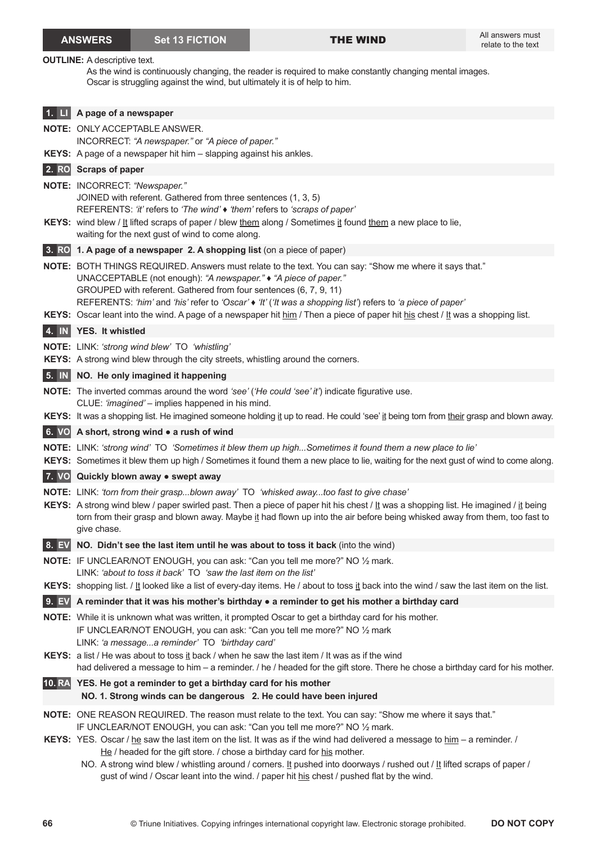|                            | <b>ANSWERS</b>                      | <b>Set 13 FICTION</b>                                                                                                                                                                                  | <b>THE WIND</b>                                                                                                                                                                                                                                                                                                                                                                     | All answers must<br>relate to the text |
|----------------------------|-------------------------------------|--------------------------------------------------------------------------------------------------------------------------------------------------------------------------------------------------------|-------------------------------------------------------------------------------------------------------------------------------------------------------------------------------------------------------------------------------------------------------------------------------------------------------------------------------------------------------------------------------------|----------------------------------------|
|                            | <b>OUTLINE:</b> A descriptive text. | Oscar is struggling against the wind, but ultimately it is of help to him.                                                                                                                             | As the wind is continuously changing, the reader is required to make constantly changing mental images.                                                                                                                                                                                                                                                                             |                                        |
|                            | <b>1. Li</b> A page of a newspaper  |                                                                                                                                                                                                        |                                                                                                                                                                                                                                                                                                                                                                                     |                                        |
|                            |                                     | <b>NOTE: ONLY ACCEPTABLE ANSWER.</b><br>INCORRECT: "A newspaper." or "A piece of paper."                                                                                                               |                                                                                                                                                                                                                                                                                                                                                                                     |                                        |
|                            |                                     | KEYS: A page of a newspaper hit him - slapping against his ankles.                                                                                                                                     |                                                                                                                                                                                                                                                                                                                                                                                     |                                        |
|                            | 2. RO Scraps of paper               |                                                                                                                                                                                                        |                                                                                                                                                                                                                                                                                                                                                                                     |                                        |
|                            | NOTE: INCORRECT: "Newspaper."       | JOINED with referent. Gathered from three sentences (1, 3, 5)<br>REFERENTS: 'it' refers to 'The wind' $\bullet$ 'them' refers to 'scraps of paper'<br>waiting for the next gust of wind to come along. | KEYS: wind blew / It lifted scraps of paper / blew them along / Sometimes it found them a new place to lie,                                                                                                                                                                                                                                                                         |                                        |
|                            |                                     | 3. RO 1. A page of a newspaper 2. A shopping list (on a piece of paper)                                                                                                                                |                                                                                                                                                                                                                                                                                                                                                                                     |                                        |
|                            |                                     | UNACCEPTABLE (not enough): "A newspaper." • "A piece of paper."<br>GROUPED with referent. Gathered from four sentences (6, 7, 9, 11)                                                                   | NOTE: BOTH THINGS REQUIRED. Answers must relate to the text. You can say: "Show me where it says that."<br>REFERENTS: 'him' and 'his' refer to 'Oscar' • 'It' ('It was a shopping list') refers to 'a piece of paper'<br>KEYS: Oscar leant into the wind. A page of a newspaper hit him / Then a piece of paper hit his chest / It was a shopping list.                             |                                        |
| $4. \parallel N \parallel$ | YES. It whistled                    |                                                                                                                                                                                                        |                                                                                                                                                                                                                                                                                                                                                                                     |                                        |
|                            |                                     | NOTE: LINK: 'strong wind blew' TO 'whistling'<br>KEYS: A strong wind blew through the city streets, whistling around the corners.                                                                      |                                                                                                                                                                                                                                                                                                                                                                                     |                                        |
|                            |                                     | 5. IN NO. He only imagined it happening                                                                                                                                                                |                                                                                                                                                                                                                                                                                                                                                                                     |                                        |
|                            |                                     | CLUE: 'imagined' - implies happened in his mind.                                                                                                                                                       | <b>NOTE:</b> The inverted commas around the word 'see' ('He could 'see' it') indicate figurative use.                                                                                                                                                                                                                                                                               |                                        |
|                            |                                     |                                                                                                                                                                                                        | KEYS: It was a shopping list. He imagined someone holding it up to read. He could 'see' it being torn from their grasp and blown away.                                                                                                                                                                                                                                              |                                        |
|                            |                                     | 6. VO A short, strong wind • a rush of wind                                                                                                                                                            |                                                                                                                                                                                                                                                                                                                                                                                     |                                        |
|                            |                                     |                                                                                                                                                                                                        | NOTE: LINK: 'strong wind' TO 'Sometimes it blew them up highSometimes it found them a new place to lie'<br>KEYS: Sometimes it blew them up high / Sometimes it found them a new place to lie, waiting for the next gust of wind to come along.                                                                                                                                      |                                        |
|                            |                                     | 7. VO Quickly blown away . swept away                                                                                                                                                                  |                                                                                                                                                                                                                                                                                                                                                                                     |                                        |
|                            | give chase.                         |                                                                                                                                                                                                        | NOTE: LINK: 'torn from their graspblown away' TO 'whisked awaytoo fast to give chase'<br>KEYS: A strong wind blew / paper swirled past. Then a piece of paper hit his chest / $\underline{t}$ was a shopping list. He imagined / $\underline{t}$ being<br>torn from their grasp and blown away. Maybe it had flown up into the air before being whisked away from them, too fast to |                                        |
| 8. EV                      |                                     |                                                                                                                                                                                                        | NO. Didn't see the last item until he was about to toss it back (into the wind)                                                                                                                                                                                                                                                                                                     |                                        |
|                            |                                     | LINK: 'about to toss it back' TO 'saw the last item on the list'                                                                                                                                       | NOTE: IF UNCLEAR/NOT ENOUGH, you can ask: "Can you tell me more?" NO 1/2 mark.                                                                                                                                                                                                                                                                                                      |                                        |
|                            |                                     |                                                                                                                                                                                                        | KEYS: shopping list. / It looked like a list of every-day items. He / about to toss it back into the wind / saw the last item on the list.                                                                                                                                                                                                                                          |                                        |
|                            |                                     |                                                                                                                                                                                                        | 9. EV A reminder that it was his mother's birthday $\bullet$ a reminder to get his mother a birthday card                                                                                                                                                                                                                                                                           |                                        |
|                            |                                     | LINK: 'a messagea reminder' TO 'birthday card'                                                                                                                                                         | NOTE: While it is unknown what was written, it prompted Oscar to get a birthday card for his mother.<br>IF UNCLEAR/NOT ENOUGH, you can ask: "Can you tell me more?" NO 1/2 mark                                                                                                                                                                                                     |                                        |
|                            |                                     |                                                                                                                                                                                                        | KEYS: a list / He was about to toss it back / when he saw the last item / It was as if the wind<br>had delivered a message to him - a reminder. / he / headed for the gift store. There he chose a birthday card for his mother.                                                                                                                                                    |                                        |
|                            |                                     | 10. RA YES. He got a reminder to get a birthday card for his mother                                                                                                                                    | NO. 1. Strong winds can be dangerous 2. He could have been injured                                                                                                                                                                                                                                                                                                                  |                                        |
|                            |                                     |                                                                                                                                                                                                        | NOTE: ONE REASON REQUIRED. The reason must relate to the text. You can say: "Show me where it says that."<br>IF UNCLEAR/NOT ENOUGH, you can ask: "Can you tell me more?" NO 1/2 mark.                                                                                                                                                                                               |                                        |
|                            |                                     | He / headed for the gift store. / chose a birthday card for his mother.                                                                                                                                | KEYS: YES. Oscar / he saw the last item on the list. It was as if the wind had delivered a message to him - a reminder. /<br>NO. A strong wind blew / whistling around / corners. It pushed into doorways / rushed out / It lifted scraps of paper /<br>gust of wind / Oscar leant into the wind. / paper hit his chest / pushed flat by the wind.                                  |                                        |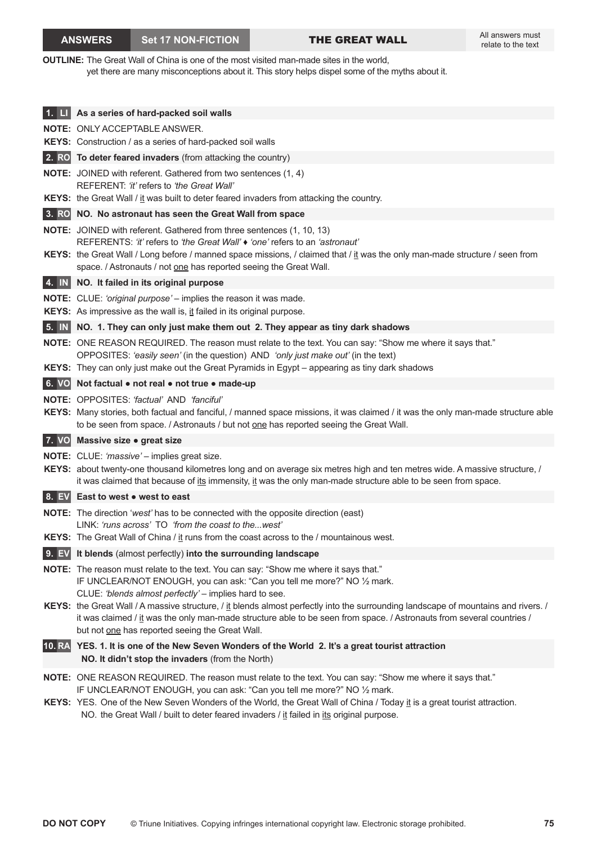**OUTLINE:** The Great Wall of China is one of the most visited man-made sites in the world, yet there are many misconceptions about it. This story helps dispel some of the myths about it.

|                            | 1. LI As a series of hard-packed soil walls                                                                                                                                                                                                                                                                                                                              |
|----------------------------|--------------------------------------------------------------------------------------------------------------------------------------------------------------------------------------------------------------------------------------------------------------------------------------------------------------------------------------------------------------------------|
|                            | <b>NOTE: ONLY ACCEPTABLE ANSWER.</b>                                                                                                                                                                                                                                                                                                                                     |
|                            | <b>KEYS:</b> Construction / as a series of hard-packed soil walls                                                                                                                                                                                                                                                                                                        |
|                            | 2. RO To deter feared invaders (from attacking the country)                                                                                                                                                                                                                                                                                                              |
|                            | <b>NOTE:</b> JOINED with referent. Gathered from two sentences (1, 4)<br>REFERENT: 'it' refers to 'the Great Wall'                                                                                                                                                                                                                                                       |
|                            | <b>KEYS:</b> the Great Wall / it was built to deter feared invaders from attacking the country.                                                                                                                                                                                                                                                                          |
|                            | 3. RO NO. No astronaut has seen the Great Wall from space                                                                                                                                                                                                                                                                                                                |
|                            | NOTE: JOINED with referent. Gathered from three sentences (1, 10, 13)<br>REFERENTS: ' <i>it'</i> refers to 'the Great Wall' $\bullet$ 'one' refers to an 'astronaut'<br>KEYS: the Great Wall / Long before / manned space missions, / claimed that / it was the only man-made structure / seen from<br>space. / Astronauts / not one has reported seeing the Great Wall. |
|                            | 4. IN NO. It failed in its original purpose                                                                                                                                                                                                                                                                                                                              |
|                            | <b>NOTE:</b> CLUE: 'original purpose' – implies the reason it was made.                                                                                                                                                                                                                                                                                                  |
|                            | KEYS: As impressive as the wall is, it failed in its original purpose.                                                                                                                                                                                                                                                                                                   |
| $5. \parallel N \parallel$ | NO. 1. They can only just make them out 2. They appear as tiny dark shadows                                                                                                                                                                                                                                                                                              |
|                            | NOTE: ONE REASON REQUIRED. The reason must relate to the text. You can say: "Show me where it says that."<br>OPPOSITES: 'easily seen' (in the question) AND 'only just make out' (in the text)<br>KEYS: They can only just make out the Great Pyramids in Egypt - appearing as tiny dark shadows                                                                         |
|                            | 6. VO Not factual . not real . not true . made-up                                                                                                                                                                                                                                                                                                                        |
|                            | <b>NOTE:</b> OPPOSITES: 'factual' AND 'fanciful'<br>KEYS: Many stories, both factual and fanciful, / manned space missions, it was claimed / it was the only man-made structure able<br>to be seen from space. / Astronauts / but not one has reported seeing the Great Wall.                                                                                            |
|                            | 7. VO Massive size . great size                                                                                                                                                                                                                                                                                                                                          |
|                            | NOTE: CLUE: 'massive' - implies great size.<br>KEYS: about twenty-one thousand kilometres long and on average six metres high and ten metres wide. A massive structure, /<br>it was claimed that because of its immensity, it was the only man-made structure able to be seen from space.                                                                                |
|                            | 8. EV East to west • west to east                                                                                                                                                                                                                                                                                                                                        |
|                            | <b>NOTE:</b> The direction 'west' has to be connected with the opposite direction (east)<br>LINK: 'runs across' TO 'from the coast to thewest'                                                                                                                                                                                                                           |
|                            | <b>KEYS:</b> The Great Wall of China / it runs from the coast across to the / mountainous west.                                                                                                                                                                                                                                                                          |
|                            | 9. EV It blends (almost perfectly) into the surrounding landscape                                                                                                                                                                                                                                                                                                        |
|                            | NOTE: The reason must relate to the text. You can say: "Show me where it says that."<br>IF UNCLEAR/NOT ENOUGH, you can ask: "Can you tell me more?" NO 1/2 mark.<br>CLUE: 'blends almost perfectly' - implies hard to see.<br>KEYS: the Great Wall / A massive structure, / it blends almost perfectly into the surrounding landscape of mountains and rivers. /         |
|                            | it was claimed / it was the only man-made structure able to be seen from space. / Astronauts from several countries /<br>but not one has reported seeing the Great Wall.                                                                                                                                                                                                 |
|                            | 10. RA YES. 1. It is one of the New Seven Wonders of the World 2. It's a great tourist attraction<br>NO. It didn't stop the invaders (from the North)                                                                                                                                                                                                                    |
|                            | NOTE: ONE REASON REQUIRED. The reason must relate to the text. You can say: "Show me where it says that."<br>IF UNCLEAR/NOT ENOUGH, you can ask: "Can you tell me more?" NO 1/2 mark.                                                                                                                                                                                    |
|                            | KEYS: YES. One of the New Seven Wonders of the World, the Great Wall of China / Today it is a great tourist attraction.                                                                                                                                                                                                                                                  |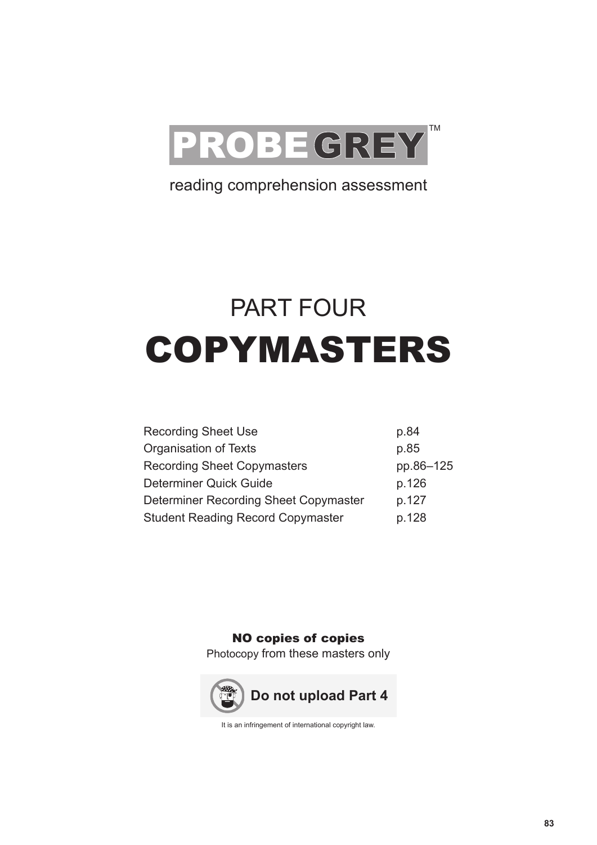

# reading comprehension assessment

# PART FOUR COPYMASTERS

| <b>Recording Sheet Use</b>               | p.84      |
|------------------------------------------|-----------|
| Organisation of Texts                    | p.85      |
| <b>Recording Sheet Copymasters</b>       | pp.86-125 |
| Determiner Quick Guide                   | p.126     |
| Determiner Recording Sheet Copymaster    | p.127     |
| <b>Student Reading Record Copymaster</b> | p.128     |

NO copies of copies

Photocopy from these masters only



It is an infringement of international copyright law.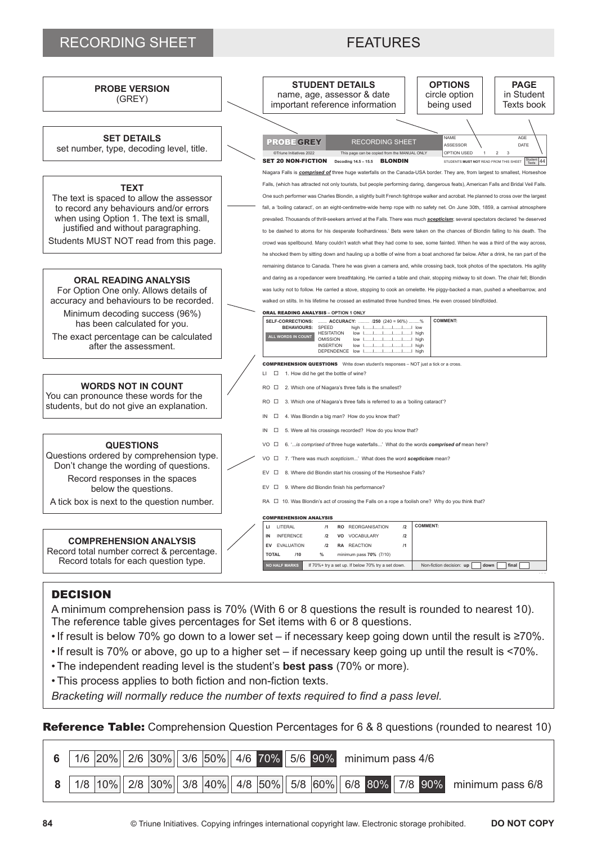## RECORDING SHEET FEATURES



- The reference table gives percentages for Set items with 6 or 8 questions.
- •If result is below 70% go down to a lower set if necessary keep going down until the result is ≥70%.
- •If result is 70% or above, go up to a higher set if necessary keep going up until the result is <70%.
- The independent reading level is the student's **best pass** (70% or more).
- This process applies to both fiction and non-fiction texts.

*Bracketing will normally reduce the number of texts required to find a pass level.*

**Reference Table:** Comprehension Question Percentages for 6 & 8 questions (rounded to nearest 10)

|  |  |  |  | 6   1/6 $\vert$ 20%   2/6 $\vert$ 30%   3/6 $\vert$ 50%   4/6   70%   5/6   90%   minimum pass 4/6 |  |  |  |                                                                                                          |
|--|--|--|--|----------------------------------------------------------------------------------------------------|--|--|--|----------------------------------------------------------------------------------------------------------|
|  |  |  |  |                                                                                                    |  |  |  | 8   1/8   10%   2/8   30%   3/8   40%   4/8   50%   5/8   60%   6/8   80%   7/8   90%   minimum pass 6/8 |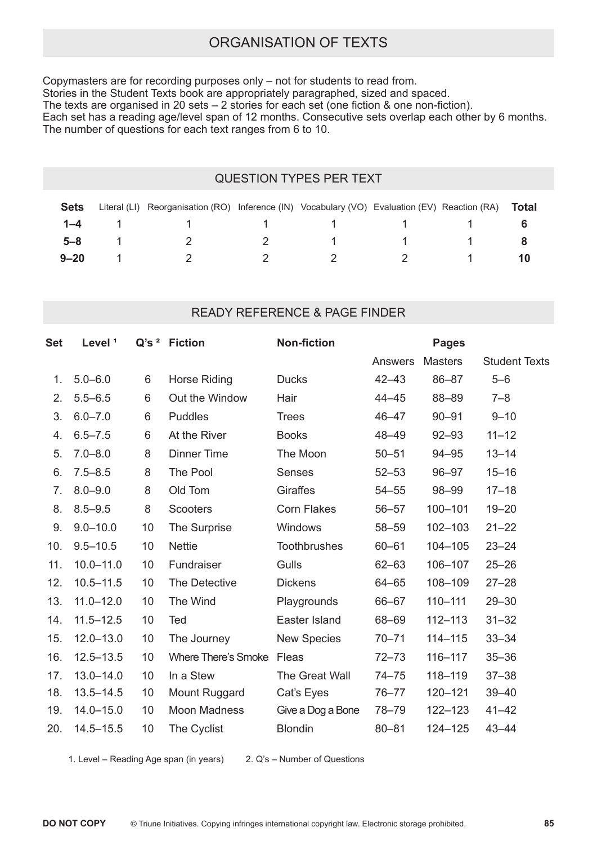# ORGANISATION OF TEXTS

Copymasters are for recording purposes only – not for students to read from. Stories in the Student Texts book are appropriately paragraphed, sized and spaced. The texts are organised in 20 sets – 2 stories for each set (one fiction & one non-fiction). Each set has a reading age/level span of 12 months. Consecutive sets overlap each other by 6 months. The number of questions for each text ranges from 6 to 10.

#### QUESTION TYPES PER TEXT

| <b>Sets</b> | Literal (LI) Reorganisation (RO) Inference (IN) Vocabulary (VO) Evaluation (EV) Reaction (RA) |          |                 |          | Total |
|-------------|-----------------------------------------------------------------------------------------------|----------|-----------------|----------|-------|
|             | <b>1–4</b> 1 1 1 1 1 1 1                                                                      |          |                 |          |       |
| $5 - 8$     | $\sim$ 2                                                                                      |          | 1 1 1 1         |          |       |
| $9 - 20$    | $\overline{2}$                                                                                | $\sim$ 2 | $\sim$ 2 $\sim$ | $\sim$ 1 |       |

#### READY REFERENCE & PAGE FINDER

| Level <sup>1</sup> |    |                            | <b>Non-fiction</b>       | <b>Pages</b>   |                |                      |
|--------------------|----|----------------------------|--------------------------|----------------|----------------|----------------------|
|                    |    |                            |                          | <b>Answers</b> | <b>Masters</b> | <b>Student Texts</b> |
| $5.0 - 6.0$        | 6  | Horse Riding               | <b>Ducks</b>             | $42 - 43$      | 86-87          | $5 - 6$              |
| $5.5 - 6.5$        | 6  | Out the Window             | Hair                     | $44 - 45$      | 88-89          | $7 - 8$              |
| $6.0 - 7.0$        | 6  | <b>Puddles</b>             | <b>Trees</b>             | $46 - 47$      | $90 - 91$      | $9 - 10$             |
| $6.5 - 7.5$        | 6  | At the River               | <b>Books</b>             | 48-49          | $92 - 93$      | $11 - 12$            |
| $7.0 - 8.0$        | 8  | <b>Dinner Time</b>         | The Moon                 | $50 - 51$      | $94 - 95$      | $13 - 14$            |
| $7.5 - 8.5$        | 8  | The Pool                   | <b>Senses</b>            | $52 - 53$      | $96 - 97$      | $15 - 16$            |
| $8.0 - 9.0$        | 8  | Old Tom                    | <b>Giraffes</b>          | $54 - 55$      | 98-99          | $17 - 18$            |
| $8.5 - 9.5$        | 8  | <b>Scooters</b>            | <b>Corn Flakes</b>       | $56 - 57$      | $100 - 101$    | $19 - 20$            |
| $9.0 - 10.0$       | 10 | The Surprise               | Windows                  | $58 - 59$      | $102 - 103$    | $21 - 22$            |
| $9.5 - 10.5$       | 10 | <b>Nettie</b>              | Toothbrushes             | $60 - 61$      | $104 - 105$    | $23 - 24$            |
| $10.0 - 11.0$      | 10 | Fundraiser                 | Gulls                    | $62 - 63$      | 106-107        | $25 - 26$            |
| $10.5 - 11.5$      | 10 | The Detective              | <b>Dickens</b>           | $64 - 65$      | 108-109        | $27 - 28$            |
| $11.0 - 12.0$      | 10 | The Wind                   | Playgrounds              | 66-67          | $110 - 111$    | $29 - 30$            |
| $11.5 - 12.5$      | 10 | Ted                        | Easter Island            | 68-69          | $112 - 113$    | $31 - 32$            |
| $12.0 - 13.0$      | 10 | The Journey                | <b>New Species</b>       | $70 - 71$      | $114 - 115$    | $33 - 34$            |
| $12.5 - 13.5$      | 10 | <b>Where There's Smoke</b> | Fleas                    | $72 - 73$      | $116 - 117$    | $35 - 36$            |
| $13.0 - 14.0$      | 10 | In a Stew                  | The Great Wall           | $74 - 75$      | $118 - 119$    | $37 - 38$            |
| $13.5 - 14.5$      | 10 | <b>Mount Ruggard</b>       | Cat's Eyes               | $76 - 77$      | $120 - 121$    | $39 - 40$            |
| $14.0 - 15.0$      | 10 | <b>Moon Madness</b>        | Give a Dog a Bone        | $78 - 79$      | 122-123        | $41 - 42$            |
| $14.5 - 15.5$      | 10 | The Cyclist                | <b>Blondin</b>           | $80 - 81$      | 124-125        | $43 - 44$            |
|                    |    |                            | Q's <sup>2</sup> Fiction |                |                |                      |

1. Level – Reading Age span (in years) 2. Q's – Number of Questions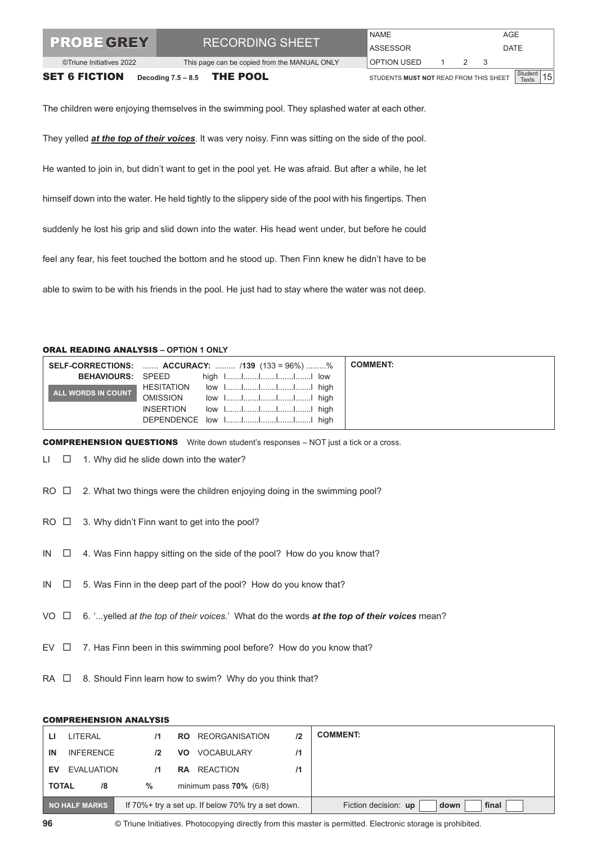| <b>TPROBE GREY</b><br>©Triune Initiatives 2022 | <b>RECORDING SHEET</b><br>This page can be copied from the MANUAL ONLY |                                        | NAME<br>AGE<br>ASSESSOR<br><b>DATE</b><br>OPTION USED<br>2 3 |  |  |                                                       |  |
|------------------------------------------------|------------------------------------------------------------------------|----------------------------------------|--------------------------------------------------------------|--|--|-------------------------------------------------------|--|
| <b>SET 6 FICTION</b>                           | Decoding $7.5 - 8.5$ THE POOL                                          | STUDENTS MUST NOT READ FROM THIS SHEET |                                                              |  |  | $\left \frac{\text{Student}}{\text{Texts}}\right $ 15 |  |

The children were enjoying themselves in the swimming pool. They splashed water at each other.

They yelled *at the top of their voices*. It was very noisy. Finn was sitting on the side of the pool.

He wanted to join in, but didn't want to get in the pool yet. He was afraid. But after a while, he let

himself down into the water. He held tightly to the slippery side of the pool with his fingertips. Then

suddenly he lost his grip and slid down into the water. His head went under, but before he could

feel any fear, his feet touched the bottom and he stood up. Then Finn knew he didn't have to be

able to swim to be with his friends in the pool. He just had to stay where the water was not deep.

#### ORAL READING ANALYSIS **– OPTION 1 ONLY**

|                          |                  | <b>SELF-CORRECTIONS:  ACCURACY:  /139 (133 = 96%) %</b> | <b>COMMENT:</b> |
|--------------------------|------------------|---------------------------------------------------------|-----------------|
| <b>BEHAVIOURS: SPEED</b> |                  | high 1IIII. low                                         |                 |
| ALL WORDS IN COUNT       | HESITATION       | low 1IIII high                                          |                 |
|                          | <b>OMISSION</b>  |                                                         |                 |
|                          | <b>INSERTION</b> |                                                         |                 |
|                          |                  | DEPENDENCE low 1IIII. high                              |                 |

COMPREHENSION QUESTIONS Write down student's responses – NOT just a tick or a cross.

 $LI$   $\Box$  1. Why did he slide down into the water?

 $RO \Box$  2. What two things were the children enjoying doing in the swimming pool?

- $RO \Box$  3. Why didn't Finn want to get into the pool?
- IN  $\Box$  4. Was Finn happy sitting on the side of the pool? How do you know that?
- $IN \Box$  5. Was Finn in the deep part of the pool? How do you know that?
- VO 6. '...yelled *at the top of their voices*.' What do the words *at the top of their voices* mean?
- $EV \Box$  7. Has Finn been in this swimming pool before? How do you know that?
- RA  $\Box$  8. Should Finn learn how to swim? Why do you think that?

#### COMPREHENSION ANALYSIS

| Ы                                                                   | LITERAL          | $\overline{11}$ | <b>RO</b> REORGANISATION  | 12                                    | <b>COMMENT:</b> |
|---------------------------------------------------------------------|------------------|-----------------|---------------------------|---------------------------------------|-----------------|
| ΙN                                                                  | <b>INFERENCE</b> | $\mathbf{12}$   | VOCABULARY<br>VO.         | /1                                    |                 |
| EV                                                                  | EVALUATION       | 71              | REACTION<br><b>RA</b>     |                                       |                 |
| <b>TOTAL</b>                                                        | /8               | %               | minimum pass $70\%$ (6/8) |                                       |                 |
| NO HALF MARKS<br>If 70%+ try a set up. If below 70% try a set down. |                  |                 |                           | Fiction decision: up<br>final<br>down |                 |

<sup>©</sup> Triune Initiatives. Photocopying directly from this master is permitted. Electronic storage is prohibited.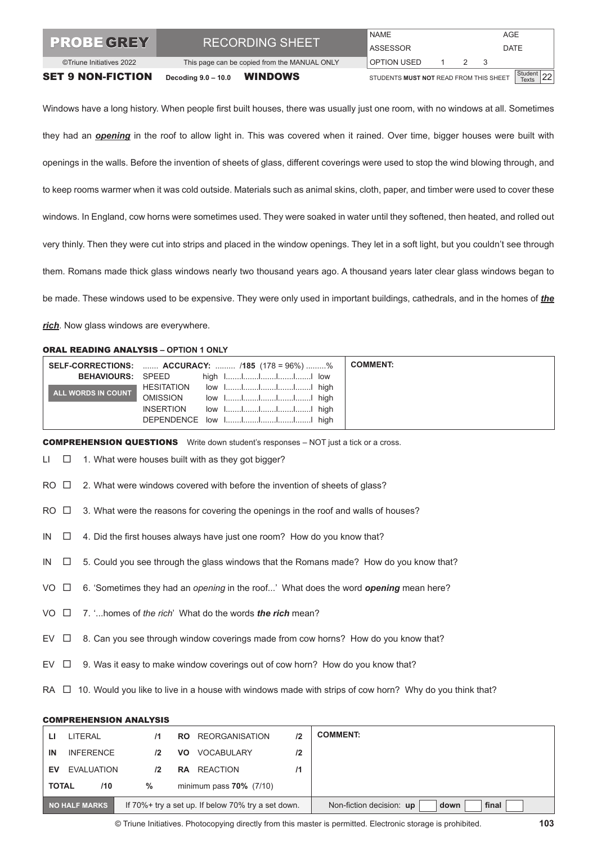| <b>SET 9 NON-FICTION</b> | Decoding $9.0 - 10.0$                        | <b>WINDOWS</b>  | STUDENTS MUST NOT READ FROM THIS SHEET |     |               |             | Student $22$ |  |
|--------------------------|----------------------------------------------|-----------------|----------------------------------------|-----|---------------|-------------|--------------|--|
| ©Triune Initiatives 2022 | This page can be copied from the MANUAL ONLY |                 | OPTION USED                            |     | $\mathcal{P}$ |             |              |  |
| <b>TPROBE GREY</b>       | <b>RECORDING SHEET</b>                       | <b>ASSESSOR</b> |                                        |     |               | <b>DATE</b> |              |  |
|                          |                                              | <b>NAME</b>     |                                        | AGE |               |             |              |  |

Windows have a long history. When people first built houses, there was usually just one room, with no windows at all. Sometimes they had an *opening* in the roof to allow light in. This was covered when it rained. Over time, bigger houses were built with openings in the walls. Before the invention of sheets of glass, different coverings were used to stop the wind blowing through, and to keep rooms warmer when it was cold outside. Materials such as animal skins, cloth, paper, and timber were used to cover these windows. In England, cow horns were sometimes used. They were soaked in water until they softened, then heated, and rolled out very thinly. Then they were cut into strips and placed in the window openings. They let in a soft light, but you couldn't see through them. Romans made thick glass windows nearly two thousand years ago. A thousand years later clear glass windows began to be made. These windows used to be expensive. They were only used in important buildings, cathedrals, and in the homes of *the rich*. Now glass windows are everywhere.

#### ORAL READING ANALYSIS **– OPTION 1 ONLY**

|                          |                   | <b>SELF-CORRECTIONS:  ACCURACY:  /185 (178 = 96%) %</b> | <b>COMMENT:</b> |
|--------------------------|-------------------|---------------------------------------------------------|-----------------|
| <b>BEHAVIOURS: SPEED</b> |                   |                                                         |                 |
| ALL WORDS IN COUNT       | <b>HESITATION</b> | low 1IIII. high                                         |                 |
|                          | <b>OMISSION</b>   |                                                         |                 |
|                          | <b>INSERTION</b>  | low 1IIII high                                          |                 |
|                          |                   | DEPENDENCE low 1IIII. high                              |                 |

COMPREHENSION QUESTIONS Write down student's responses – NOT just a tick or a cross.

 $LI \quad \Box \quad 1.$  What were houses built with as they got bigger?

 $RO \Box$  2. What were windows covered with before the invention of sheets of glass?

 $RO \Box$  3. What were the reasons for covering the openings in the roof and walls of houses?

 $IN \Box$  4. Did the first houses always have just one room? How do you know that?

IN  $\square$  5. Could you see through the glass windows that the Romans made? How do you know that?

VO  $□$  6. 'Sometimes they had an *opening* in the roof...' What does the word **opening** mean here?

- VO 7. '...homes of *the rich*' What do the words *the rich* mean?
- EV  $\Box$  8. Can you see through window coverings made from cow horns? How do you know that?
- $EV \Box$  9. Was it easy to make window coverings out of cow horn? How do you know that?

RA  $\Box$  10. Would you like to live in a house with windows made with strips of cow horn? Why do you think that?

#### COMPREHENSION ANALYSIS

| ш                                                                   | LITERAL          | $\mathsf{I}$    | <b>REORGANISATION</b><br>RO.              | 12 | <b>COMMENT:</b> |
|---------------------------------------------------------------------|------------------|-----------------|-------------------------------------------|----|-----------------|
| ΙN                                                                  | <b>INFERENCE</b> | 12 <sup>2</sup> | <b>VOCABULARY</b><br>VO.                  | 12 |                 |
| FV                                                                  | EVALUATION       | 12 <sup>2</sup> | REACTION<br><b>RA</b>                     | 11 |                 |
| <b>TOTAL</b>                                                        | /10              | %               | minimum pass $70\%$ (7/10)                |    |                 |
| NO HALF MARKS<br>If 70%+ try a set up. If below 70% try a set down. |                  |                 | Non-fiction decision: up<br>final<br>down |    |                 |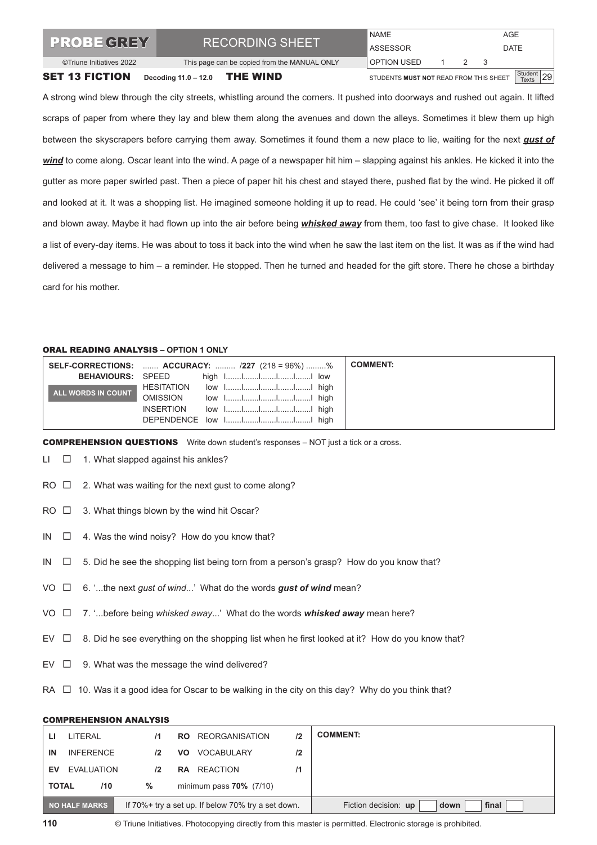| <b>PROBE GREY</b>        | <b>RECORDING SHEET</b>                       | <b>NAME</b><br>ASSESSOR                |     | AGE<br><b>DATE</b> |  |
|--------------------------|----------------------------------------------|----------------------------------------|-----|--------------------|--|
| ©Triune Initiatives 2022 | This page can be copied from the MANUAL ONLY | OPTION USED                            | 2 3 |                    |  |
| <b>SET 13 FICTION</b>    | Decoding 11.0 - 12.0 THE WIND                | STUDENTS MUST NOT READ FROM THIS SHEET |     | Student 29         |  |

A strong wind blew through the city streets, whistling around the corners. It pushed into doorways and rushed out again. It lifted scraps of paper from where they lay and blew them along the avenues and down the alleys. Sometimes it blew them up high between the skyscrapers before carrying them away. Sometimes it found them a new place to lie, waiting for the next *gust of wind* to come along. Oscar leant into the wind. A page of a newspaper hit him – slapping against his ankles. He kicked it into the gutter as more paper swirled past. Then a piece of paper hit his chest and stayed there, pushed flat by the wind. He picked it off and looked at it. It was a shopping list. He imagined someone holding it up to read. He could 'see' it being torn from their grasp and blown away. Maybe it had flown up into the air before being *whisked away* from them, too fast to give chase. It looked like a list of every-day items. He was about to toss it back into the wind when he saw the last item on the list. It was as if the wind had delivered a message to him – a reminder. He stopped. Then he turned and headed for the gift store. There he chose a birthday card for his mother.

#### ORAL READING ANALYSIS **– OPTION 1 ONLY**

|                          |                  | <b>SELF-CORRECTIONS:  ACCURACY:  /227 (218 = 96%) %</b> | <b>COMMENT:</b> |
|--------------------------|------------------|---------------------------------------------------------|-----------------|
| <b>BEHAVIOURS: SPEED</b> |                  |                                                         |                 |
| ALL WORDS IN COUNT       | HESITATION       |                                                         |                 |
|                          | <b>OMISSION</b>  |                                                         |                 |
|                          | <b>INSERTION</b> |                                                         |                 |
|                          |                  | DEPENDENCE low 1IIII high                               |                 |

COMPREHENSION QUESTIONS Write down student's responses – NOT just a tick or a cross.

 $LI$   $\Box$  1. What slapped against his ankles?

- $RO \Box$  2. What was waiting for the next gust to come along?
- $RO \Box$  3. What things blown by the wind hit Oscar?
- $IN \Box$  4. Was the wind noisy? How do you know that?
- IN  $\square$  5. Did he see the shopping list being torn from a person's grasp? How do you know that?
- VO □ 6. '...the next *gust of wind...*' What do the words *gust of wind* mean?
- VO 7. '...before being *whisked away*...' What do the words *whisked away* mean here?
- EV  $\Box$  8. Did he see everything on the shopping list when he first looked at it? How do you know that?
- $EV \Box$  9. What was the message the wind delivered?
- RA  $\Box$  10. Was it a good idea for Oscar to be walking in the city on this day? Why do you think that?

#### COMPREHENSION ANALYSIS

|                                                                     | LITERAL           | 71              | <b>REORGANISATION</b><br>RO.   | 12                                    | <b>COMMENT:</b> |
|---------------------------------------------------------------------|-------------------|-----------------|--------------------------------|---------------------------------------|-----------------|
| IN                                                                  | <b>INFERENCE</b>  | 12 <sup>2</sup> | VOCABULARY<br>VO.              | 12                                    |                 |
| EV                                                                  | <b>EVALUATION</b> | 12 <sup>2</sup> | REACTION<br><b>RA</b>          | 11                                    |                 |
| <b>TOTAL</b>                                                        | /10               | $\%$            | minimum pass $70\%$ ( $7/10$ ) |                                       |                 |
| NO HALF MARKS<br>If 70%+ try a set up. If below 70% try a set down. |                   |                 |                                | Fiction decision: up<br>final<br>down |                 |

© Triune Initiatives. Photocopying directly from this master is permitted. Electronic storage is prohibited.